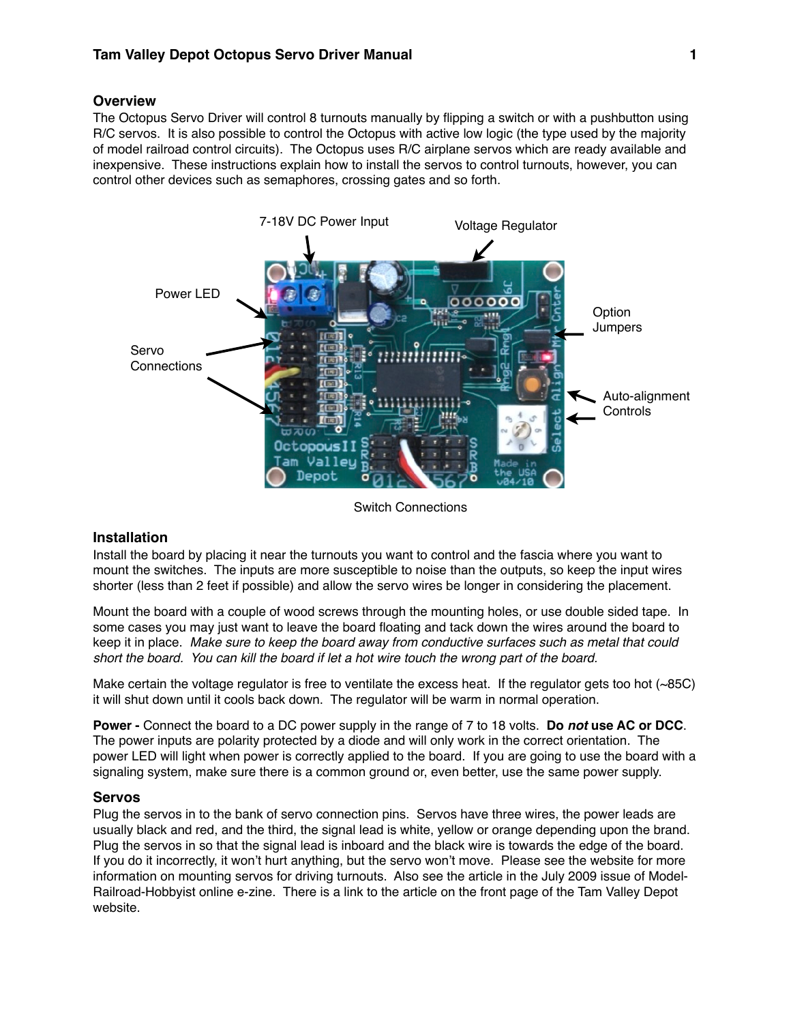# **Overview**

The Octopus Servo Driver will control 8 turnouts manually by flipping a switch or with a pushbutton using R/C servos. It is also possible to control the Octopus with active low logic (the type used by the majority of model railroad control circuits). The Octopus uses R/C airplane servos which are ready available and inexpensive. These instructions explain how to install the servos to control turnouts, however, you can control other devices such as semaphores, crossing gates and so forth.



Switch Connections

### **Installation**

Install the board by placing it near the turnouts you want to control and the fascia where you want to mount the switches. The inputs are more susceptible to noise than the outputs, so keep the input wires shorter (less than 2 feet if possible) and allow the servo wires be longer in considering the placement.

Mount the board with a couple of wood screws through the mounting holes, or use double sided tape. In some cases you may just want to leave the board floating and tack down the wires around the board to keep it in place. *Make sure to keep the board away from conductive surfaces such as metal that could short the board. You can kill the board if let a hot wire touch the wrong part of the board.*

Make certain the voltage regulator is free to ventilate the excess heat. If the regulator gets too hot (~85C) it will shut down until it cools back down. The regulator will be warm in normal operation.

**Power -** Connect the board to a DC power supply in the range of 7 to 18 volts. **Do** *not* **use AC or DCC**. The power inputs are polarity protected by a diode and will only work in the correct orientation. The power LED will light when power is correctly applied to the board. If you are going to use the board with a signaling system, make sure there is a common ground or, even better, use the same power supply.

### **Servos**

Plug the servos in to the bank of servo connection pins. Servos have three wires, the power leads are usually black and red, and the third, the signal lead is white, yellow or orange depending upon the brand. Plug the servos in so that the signal lead is inboard and the black wire is towards the edge of the board. If you do it incorrectly, it won't hurt anything, but the servo won't move. Please see the website for more information on mounting servos for driving turnouts. Also see the article in the July 2009 issue of Model-Railroad-Hobbyist online e-zine. There is a link to the article on the front page of the Tam Valley Depot website.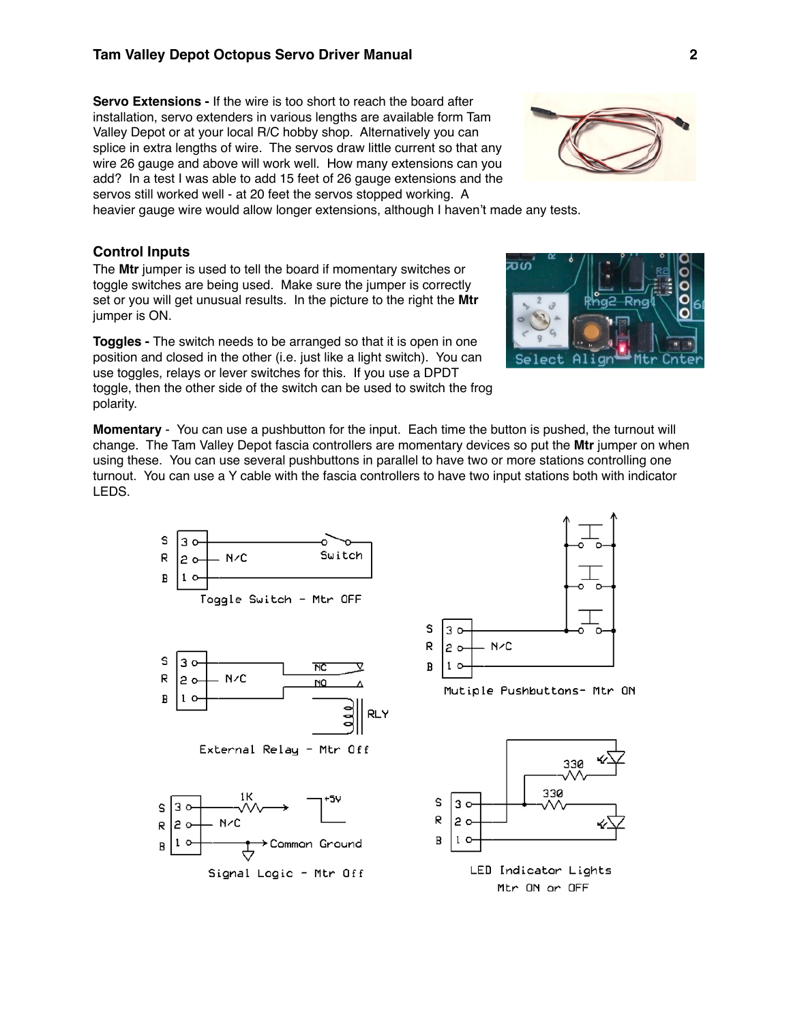### **Tam Valley Depot Octopus Servo Driver Manual 2**

**Servo Extensions -** If the wire is too short to reach the board after installation, servo extenders in various lengths are available form Tam Valley Depot or at your local R/C hobby shop. Alternatively you can splice in extra lengths of wire. The servos draw little current so that any wire 26 gauge and above will work well. How many extensions can you add? In a test I was able to add 15 feet of 26 gauge extensions and the servos still worked well - at 20 feet the servos stopped working. A

heavier gauge wire would allow longer extensions, although I haven't made any tests.

# **Control Inputs**

The **Mtr** jumper is used to tell the board if momentary switches or toggle switches are being used. Make sure the jumper is correctly set or you will get unusual results. In the picture to the right the **Mtr** jumper is ON.

**Toggles -** The switch needs to be arranged so that it is open in one position and closed in the other (i.e. just like a light switch). You can use toggles, relays or lever switches for this. If you use a DPDT toggle, then the other side of the switch can be used to switch the frog polarity.



**Momentary** - You can use a pushbutton for the input. Each time the button is pushed, the turnout will change. The Tam Valley Depot fascia controllers are momentary devices so put the **Mtr** jumper on when using these. You can use several pushbuttons in parallel to have two or more stations controlling one turnout. You can use a Y cable with the fascia controllers to have two input stations both with indicator LEDS.

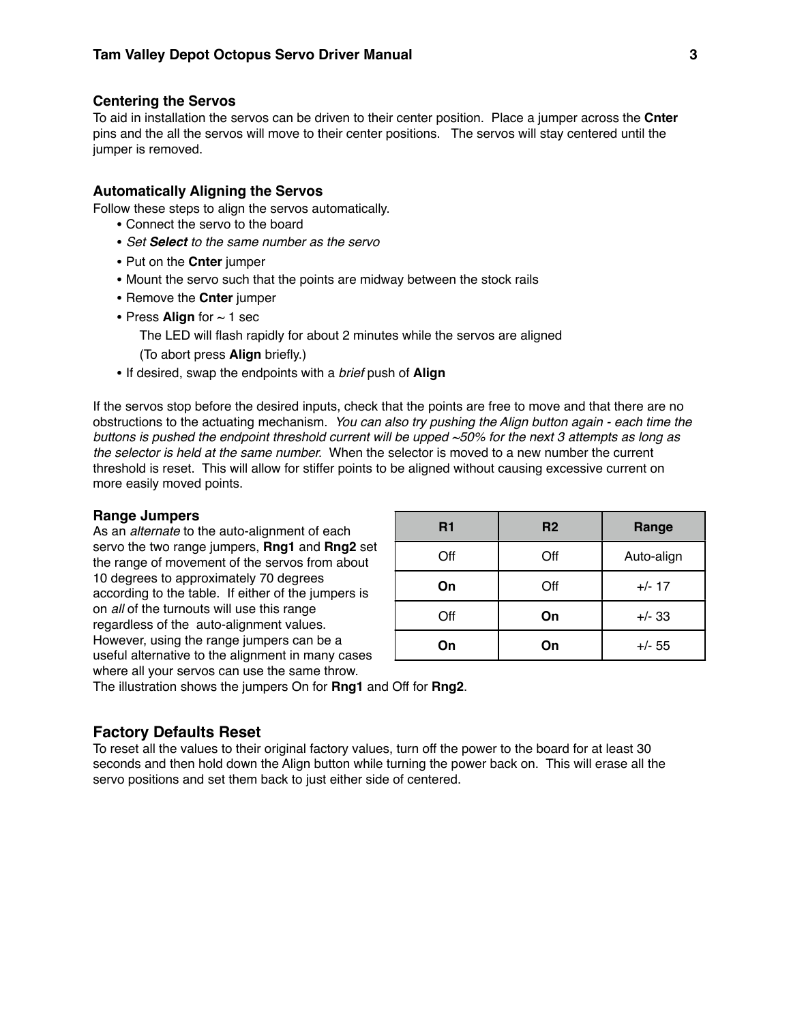# **Centering the Servos**

To aid in installation the servos can be driven to their center position. Place a jumper across the **Cnter** pins and the all the servos will move to their center positions. The servos will stay centered until the jumper is removed.

# **Automatically Aligning the Servos**

Follow these steps to align the servos automatically.

- Connect the servo to the board
- *Set Select to the same number as the servo*
- Put on the **Cnter** jumper
- Mount the servo such that the points are midway between the stock rails
- Remove the **Cnter** jumper
- Press **Align** for  $\sim$  1 sec
	- The LED will flash rapidly for about 2 minutes while the servos are aligned

(To abort press **Align** briefly.)

• If desired, swap the endpoints with a *brief* push of **Align**

If the servos stop before the desired inputs, check that the points are free to move and that there are no obstructions to the actuating mechanism. *You can also try pushing the Align button again - each time the buttons is pushed the endpoint threshold current will be upped ~50% for the next 3 attempts as long as the selector is held at the same number.* When the selector is moved to a new number the current threshold is reset. This will allow for stiffer points to be aligned without causing excessive current on more easily moved points.

#### **Range Jumpers**

As an *alternate* to the auto-alignment of each servo the two range jumpers, **Rng1** and **Rng2** set the range of movement of the servos from about 10 degrees to approximately 70 degrees according to the table. If either of the jumpers is on *all* of the turnouts will use this range regardless of the auto-alignment values. However, using the range jumpers can be a useful alternative to the alignment in many cases where all your servos can use the same throw.

| R1  | R <sub>2</sub> | Range      |
|-----|----------------|------------|
| Off | Off            | Auto-align |
| On  | Off            | $+/- 17$   |
| Off | On             | $+/- 33$   |
| On  | On             | $+/- 55$   |

The illustration shows the jumpers On for **Rng1** and Off for **Rng2**.

## **Factory Defaults Reset**

To reset all the values to their original factory values, turn off the power to the board for at least 30 seconds and then hold down the Align button while turning the power back on. This will erase all the servo positions and set them back to just either side of centered.